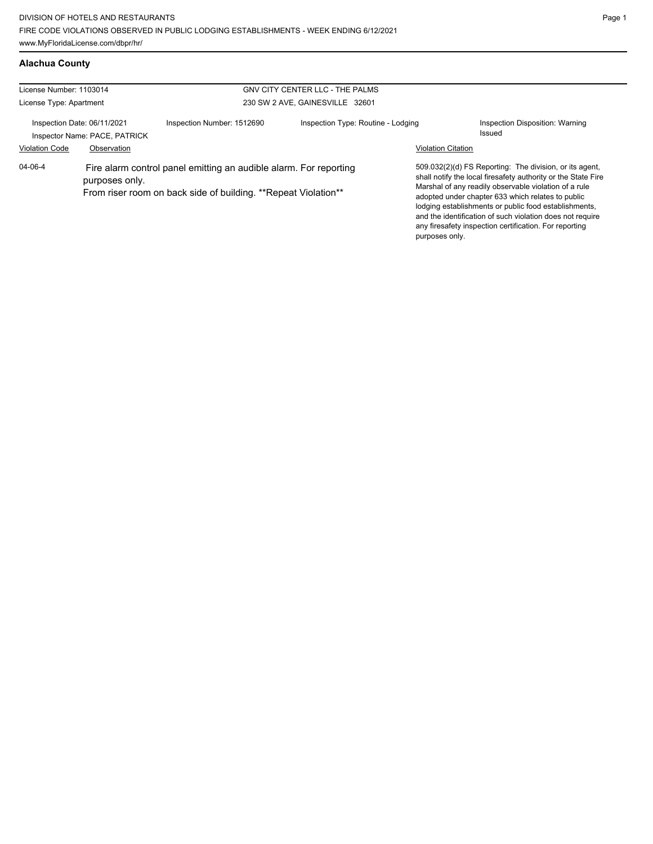| Alachua County |  |
|----------------|--|
|                |  |

| GNV CITY CENTER LLC - THE PALMS<br>License Number: 1103014   |                |                                                                                                                                     |                                    |                           |                                                                                                                                                                                                                                                                                                                                                                                                                        |
|--------------------------------------------------------------|----------------|-------------------------------------------------------------------------------------------------------------------------------------|------------------------------------|---------------------------|------------------------------------------------------------------------------------------------------------------------------------------------------------------------------------------------------------------------------------------------------------------------------------------------------------------------------------------------------------------------------------------------------------------------|
| License Type: Apartment                                      |                |                                                                                                                                     | 230 SW 2 AVE, GAINESVILLE 32601    |                           |                                                                                                                                                                                                                                                                                                                                                                                                                        |
| Inspection Date: 06/11/2021<br>Inspector Name: PACE, PATRICK |                | Inspection Number: 1512690                                                                                                          | Inspection Type: Routine - Lodging |                           | Inspection Disposition: Warning<br>Issued                                                                                                                                                                                                                                                                                                                                                                              |
| <b>Violation Code</b>                                        | Observation    |                                                                                                                                     |                                    | <b>Violation Citation</b> |                                                                                                                                                                                                                                                                                                                                                                                                                        |
| 04-06-4                                                      | purposes only. | Fire alarm control panel emitting an audible alarm. For reporting<br>From riser room on back side of building. **Repeat Violation** |                                    | purposes only.            | 509.032(2)(d) FS Reporting: The division, or its agent,<br>shall notify the local firesafety authority or the State Fire<br>Marshal of any readily observable violation of a rule<br>adopted under chapter 633 which relates to public<br>lodging establishments or public food establishments,<br>and the identification of such violation does not require<br>any firesafety inspection certification. For reporting |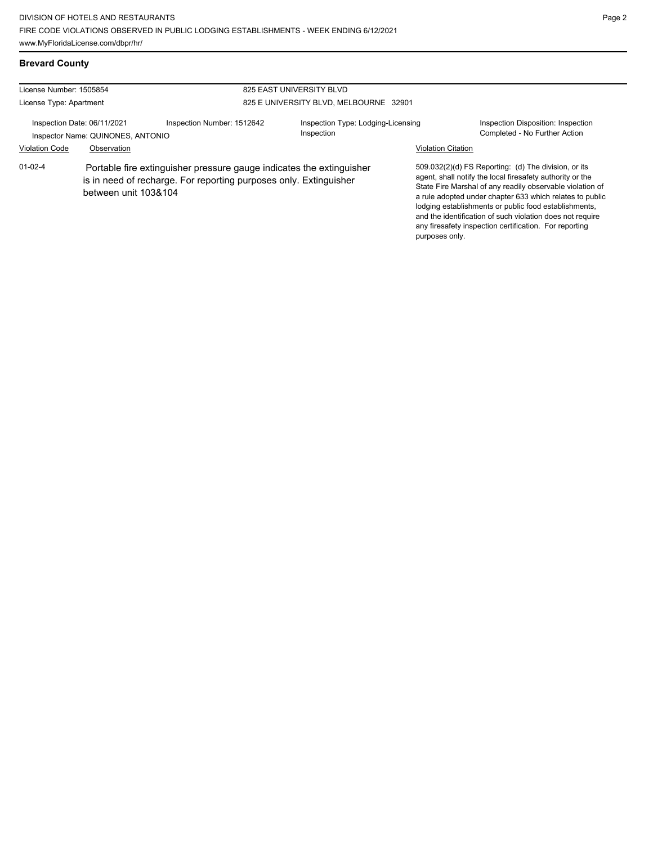| 825 EAST UNIVERSITY BLVD<br>License Number: 1505854              |                                                                                                                                                                   |                            |                                                  |                           |                                                                                                                                                                                                                                                                                                                                                                                                                            |
|------------------------------------------------------------------|-------------------------------------------------------------------------------------------------------------------------------------------------------------------|----------------------------|--------------------------------------------------|---------------------------|----------------------------------------------------------------------------------------------------------------------------------------------------------------------------------------------------------------------------------------------------------------------------------------------------------------------------------------------------------------------------------------------------------------------------|
| License Type: Apartment                                          |                                                                                                                                                                   |                            | 825 E UNIVERSITY BLVD, MELBOURNE 32901           |                           |                                                                                                                                                                                                                                                                                                                                                                                                                            |
| Inspection Date: 06/11/2021<br>Inspector Name: QUINONES, ANTONIO |                                                                                                                                                                   | Inspection Number: 1512642 | Inspection Type: Lodging-Licensing<br>Inspection |                           | Inspection Disposition: Inspection<br>Completed - No Further Action                                                                                                                                                                                                                                                                                                                                                        |
| <b>Violation Code</b>                                            | Observation                                                                                                                                                       |                            |                                                  | <b>Violation Citation</b> |                                                                                                                                                                                                                                                                                                                                                                                                                            |
| $01 - 02 - 4$                                                    | Portable fire extinguisher pressure gauge indicates the extinguisher<br>is in need of recharge. For reporting purposes only. Extinguisher<br>between unit 103&104 |                            |                                                  | purposes only.            | 509.032(2)(d) FS Reporting: (d) The division, or its<br>agent, shall notify the local firesafety authority or the<br>State Fire Marshal of any readily observable violation of<br>a rule adopted under chapter 633 which relates to public<br>lodging establishments or public food establishments,<br>and the identification of such violation does not require<br>any firesafety inspection certification. For reporting |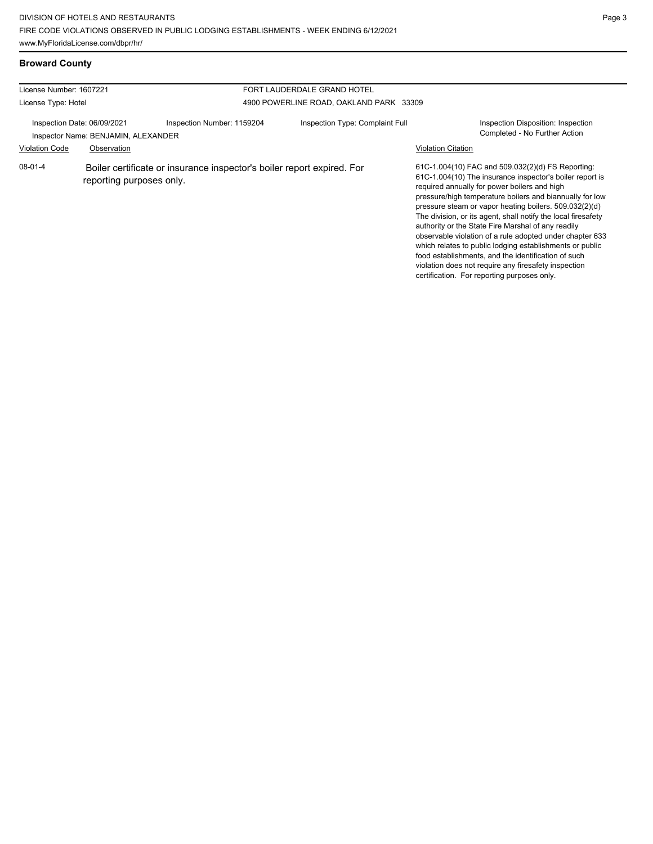## **Broward County**

| License Number: 1607221<br>FORT LAUDERDALE GRAND HOTEL |                                                                    |                                                                        |                                         |                                                                                                                                                                                                                                                                                                                                                                                                                                                                                                                                                                                                                                                                                                  |
|--------------------------------------------------------|--------------------------------------------------------------------|------------------------------------------------------------------------|-----------------------------------------|--------------------------------------------------------------------------------------------------------------------------------------------------------------------------------------------------------------------------------------------------------------------------------------------------------------------------------------------------------------------------------------------------------------------------------------------------------------------------------------------------------------------------------------------------------------------------------------------------------------------------------------------------------------------------------------------------|
| License Type: Hotel                                    |                                                                    |                                                                        | 4900 POWERLINE ROAD, OAKLAND PARK 33309 |                                                                                                                                                                                                                                                                                                                                                                                                                                                                                                                                                                                                                                                                                                  |
|                                                        | Inspection Date: 06/09/2021<br>Inspector Name: BENJAMIN, ALEXANDER | Inspection Number: 1159204                                             | Inspection Type: Complaint Full         | Inspection Disposition: Inspection<br>Completed - No Further Action                                                                                                                                                                                                                                                                                                                                                                                                                                                                                                                                                                                                                              |
| <b>Violation Code</b>                                  | Observation                                                        |                                                                        |                                         | <b>Violation Citation</b>                                                                                                                                                                                                                                                                                                                                                                                                                                                                                                                                                                                                                                                                        |
| $08 - 01 - 4$                                          | reporting purposes only.                                           | Boiler certificate or insurance inspector's boiler report expired. For |                                         | 61C-1.004(10) FAC and 509.032(2)(d) FS Reporting:<br>61C-1.004(10) The insurance inspector's boiler report is<br>required annually for power boilers and high<br>pressure/high temperature boilers and biannually for low<br>pressure steam or vapor heating boilers. 509.032(2)(d)<br>The division, or its agent, shall notify the local firesafety<br>authority or the State Fire Marshal of any readily<br>observable violation of a rule adopted under chapter 633<br>which relates to public lodging establishments or public<br>food establishments, and the identification of such<br>violation does not require any firesafety inspection<br>certification. For reporting purposes only. |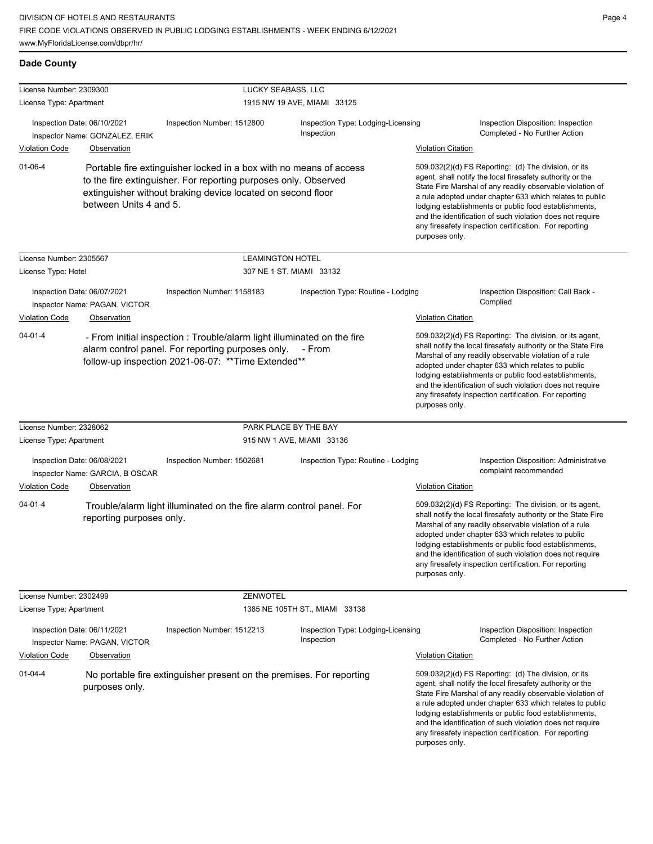### **Dade County**

| License Number: 2309300 |                                                                                    | LUCKY SEABASS, LLC                                                                                                                                                                                   |                                                  |                           |                                                                                                                                                                                                                                                                                                                                                                                                                            |
|-------------------------|------------------------------------------------------------------------------------|------------------------------------------------------------------------------------------------------------------------------------------------------------------------------------------------------|--------------------------------------------------|---------------------------|----------------------------------------------------------------------------------------------------------------------------------------------------------------------------------------------------------------------------------------------------------------------------------------------------------------------------------------------------------------------------------------------------------------------------|
| License Type: Apartment |                                                                                    |                                                                                                                                                                                                      | 1915 NW 19 AVE, MIAMI 33125                      |                           |                                                                                                                                                                                                                                                                                                                                                                                                                            |
|                         | Inspection Date: 06/10/2021<br>Inspector Name: GONZALEZ, ERIK                      | Inspection Number: 1512800                                                                                                                                                                           | Inspection Type: Lodging-Licensing<br>Inspection |                           | Inspection Disposition: Inspection<br>Completed - No Further Action                                                                                                                                                                                                                                                                                                                                                        |
| <b>Violation Code</b>   | Observation                                                                        |                                                                                                                                                                                                      |                                                  | <b>Violation Citation</b> |                                                                                                                                                                                                                                                                                                                                                                                                                            |
| $01 - 06 - 4$           | between Units 4 and 5.                                                             | Portable fire extinguisher locked in a box with no means of access<br>to the fire extinguisher. For reporting purposes only. Observed<br>extinguisher without braking device located on second floor |                                                  | purposes only.            | 509.032(2)(d) FS Reporting: (d) The division, or its<br>agent, shall notify the local firesafety authority or the<br>State Fire Marshal of any readily observable violation of<br>a rule adopted under chapter 633 which relates to public<br>lodging establishments or public food establishments,<br>and the identification of such violation does not require<br>any firesafety inspection certification. For reporting |
| License Number: 2305567 |                                                                                    | <b>LEAMINGTON HOTEL</b>                                                                                                                                                                              |                                                  |                           |                                                                                                                                                                                                                                                                                                                                                                                                                            |
| License Type: Hotel     |                                                                                    |                                                                                                                                                                                                      | 307 NE 1 ST, MIAMI 33132                         |                           |                                                                                                                                                                                                                                                                                                                                                                                                                            |
| <b>Violation Code</b>   | Inspection Date: 06/07/2021<br>Inspector Name: PAGAN, VICTOR<br><b>Observation</b> | Inspection Number: 1158183                                                                                                                                                                           | Inspection Type: Routine - Lodging               | <b>Violation Citation</b> | Inspection Disposition: Call Back -<br>Complied                                                                                                                                                                                                                                                                                                                                                                            |
| $04 - 01 - 4$           |                                                                                    | - From initial inspection : Trouble/alarm light illuminated on the fire<br>alarm control panel. For reporting purposes only. - From<br>follow-up inspection 2021-06-07: ** Time Extended**           |                                                  | purposes only.            | 509.032(2)(d) FS Reporting: The division, or its agent,<br>shall notify the local firesafety authority or the State Fire<br>Marshal of any readily observable violation of a rule<br>adopted under chapter 633 which relates to public<br>lodging establishments or public food establishments,<br>and the identification of such violation does not require<br>any firesafety inspection certification. For reporting     |
| License Number: 2328062 |                                                                                    |                                                                                                                                                                                                      | PARK PLACE BY THE BAY                            |                           |                                                                                                                                                                                                                                                                                                                                                                                                                            |
| License Type: Apartment |                                                                                    |                                                                                                                                                                                                      | 915 NW 1 AVE, MIAMI 33136                        |                           |                                                                                                                                                                                                                                                                                                                                                                                                                            |
|                         | Inspection Date: 06/08/2021<br>Inspector Name: GARCIA, B OSCAR                     | Inspection Number: 1502681                                                                                                                                                                           | Inspection Type: Routine - Lodging               |                           | Inspection Disposition: Administrative<br>complaint recommended                                                                                                                                                                                                                                                                                                                                                            |
| Violation Code          | Observation                                                                        |                                                                                                                                                                                                      |                                                  | <b>Violation Citation</b> |                                                                                                                                                                                                                                                                                                                                                                                                                            |
| $04 - 01 - 4$           | reporting purposes only.                                                           | Trouble/alarm light illuminated on the fire alarm control panel. For                                                                                                                                 |                                                  | purposes only.            | 509.032(2)(d) FS Reporting: The division, or its agent,<br>shall notify the local firesafety authority or the State Fire<br>Marshal of any readily observable violation of a rule<br>adopted under chapter 633 which relates to public<br>lodging establishments or public food establishments,<br>and the identification of such violation does not require<br>any firesafety inspection certification. For reporting     |
| License Number: 2302499 |                                                                                    | ZENWOTEL                                                                                                                                                                                             |                                                  |                           |                                                                                                                                                                                                                                                                                                                                                                                                                            |
| License Type: Apartment |                                                                                    |                                                                                                                                                                                                      | 1385 NE 105TH ST., MIAMI 33138                   |                           |                                                                                                                                                                                                                                                                                                                                                                                                                            |
|                         | Inspection Date: 06/11/2021<br>Inspector Name: PAGAN, VICTOR                       | Inspection Number: 1512213                                                                                                                                                                           | Inspection Type: Lodging-Licensing<br>Inspection |                           | Inspection Disposition: Inspection<br>Completed - No Further Action                                                                                                                                                                                                                                                                                                                                                        |
| <b>Violation Code</b>   | Observation                                                                        |                                                                                                                                                                                                      |                                                  | <b>Violation Citation</b> |                                                                                                                                                                                                                                                                                                                                                                                                                            |
| $01 - 04 - 4$           | purposes only.                                                                     | No portable fire extinguisher present on the premises. For reporting                                                                                                                                 |                                                  | purposes only.            | 509.032(2)(d) FS Reporting: (d) The division, or its<br>agent, shall notify the local firesafety authority or the<br>State Fire Marshal of any readily observable violation of<br>a rule adopted under chapter 633 which relates to public<br>lodging establishments or public food establishments,<br>and the identification of such violation does not require<br>any firesafety inspection certification. For reporting |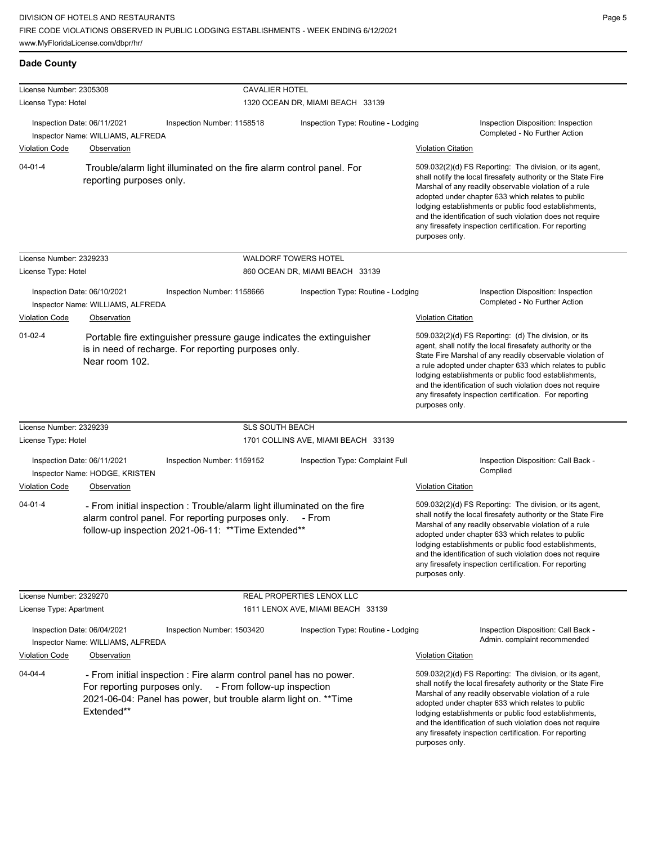| License Number: 2305308<br>License Type: Hotel |                                                                  | <b>CAVALIER HOTEL</b>                                                                                                                                                               | 1320 OCEAN DR, MIAMI BEACH 33139    |                           |                                                                                                                                                                                                                                                                                                                                                                                                                            |
|------------------------------------------------|------------------------------------------------------------------|-------------------------------------------------------------------------------------------------------------------------------------------------------------------------------------|-------------------------------------|---------------------------|----------------------------------------------------------------------------------------------------------------------------------------------------------------------------------------------------------------------------------------------------------------------------------------------------------------------------------------------------------------------------------------------------------------------------|
|                                                | Inspection Date: 06/11/2021<br>Inspector Name: WILLIAMS, ALFREDA | Inspection Number: 1158518                                                                                                                                                          | Inspection Type: Routine - Lodging  |                           | Inspection Disposition: Inspection<br>Completed - No Further Action                                                                                                                                                                                                                                                                                                                                                        |
| <b>Violation Code</b>                          | Observation                                                      |                                                                                                                                                                                     |                                     | <b>Violation Citation</b> |                                                                                                                                                                                                                                                                                                                                                                                                                            |
| $04 - 01 - 4$                                  | reporting purposes only.                                         | Trouble/alarm light illuminated on the fire alarm control panel. For                                                                                                                |                                     | purposes only.            | 509.032(2)(d) FS Reporting: The division, or its agent,<br>shall notify the local firesafety authority or the State Fire<br>Marshal of any readily observable violation of a rule<br>adopted under chapter 633 which relates to public<br>lodging establishments or public food establishments,<br>and the identification of such violation does not require<br>any firesafety inspection certification. For reporting     |
| License Number: 2329233                        |                                                                  |                                                                                                                                                                                     | <b>WALDORF TOWERS HOTEL</b>         |                           |                                                                                                                                                                                                                                                                                                                                                                                                                            |
| License Type: Hotel                            |                                                                  |                                                                                                                                                                                     | 860 OCEAN DR, MIAMI BEACH 33139     |                           |                                                                                                                                                                                                                                                                                                                                                                                                                            |
|                                                | Inspection Date: 06/10/2021<br>Inspector Name: WILLIAMS, ALFREDA | Inspection Number: 1158666                                                                                                                                                          | Inspection Type: Routine - Lodging  |                           | Inspection Disposition: Inspection<br>Completed - No Further Action                                                                                                                                                                                                                                                                                                                                                        |
| Violation Code                                 | Observation                                                      |                                                                                                                                                                                     |                                     | <b>Violation Citation</b> |                                                                                                                                                                                                                                                                                                                                                                                                                            |
| $01-02-4$                                      | Near room 102.                                                   | Portable fire extinguisher pressure gauge indicates the extinguisher<br>is in need of recharge. For reporting purposes only.                                                        |                                     | purposes only.            | 509.032(2)(d) FS Reporting: (d) The division, or its<br>agent, shall notify the local firesafety authority or the<br>State Fire Marshal of any readily observable violation of<br>a rule adopted under chapter 633 which relates to public<br>lodging establishments or public food establishments,<br>and the identification of such violation does not require<br>any firesafety inspection certification. For reporting |
| License Number: 2329239                        |                                                                  | <b>SLS SOUTH BEACH</b>                                                                                                                                                              |                                     |                           |                                                                                                                                                                                                                                                                                                                                                                                                                            |
| License Type: Hotel                            |                                                                  |                                                                                                                                                                                     | 1701 COLLINS AVE, MIAMI BEACH 33139 |                           |                                                                                                                                                                                                                                                                                                                                                                                                                            |
|                                                | Inspection Date: 06/11/2021<br>Inspector Name: HODGE, KRISTEN    | Inspection Number: 1159152                                                                                                                                                          | Inspection Type: Complaint Full     |                           | Inspection Disposition: Call Back -<br>Complied                                                                                                                                                                                                                                                                                                                                                                            |
| <b>Violation Code</b>                          | Observation                                                      |                                                                                                                                                                                     |                                     | <b>Violation Citation</b> |                                                                                                                                                                                                                                                                                                                                                                                                                            |
| $04 - 01 - 4$                                  |                                                                  | - From initial inspection : Trouble/alarm light illuminated on the fire<br>alarm control panel. For reporting purposes only.<br>follow-up inspection 2021-06-11: ** Time Extended** | - From                              | purposes only.            | 509.032(2)(d) FS Reporting: The division, or its agent,<br>shall notify the local firesafety authority or the State Fire<br>Marshal of any readily observable violation of a rule<br>adopted under chapter 633 which relates to public<br>lodging establishments or public food establishments,<br>and the identification of such violation does not require<br>any firesafety inspection certification. For reporting     |
| License Number: 2329270                        |                                                                  |                                                                                                                                                                                     | REAL PROPERTIES LENOX LLC           |                           |                                                                                                                                                                                                                                                                                                                                                                                                                            |
| License Type: Apartment                        |                                                                  |                                                                                                                                                                                     | 1611 LENOX AVE, MIAMI BEACH 33139   |                           |                                                                                                                                                                                                                                                                                                                                                                                                                            |
|                                                | Inspection Date: 06/04/2021<br>Inspector Name: WILLIAMS, ALFREDA | Inspection Number: 1503420                                                                                                                                                          | Inspection Type: Routine - Lodging  |                           | Inspection Disposition: Call Back -<br>Admin. complaint recommended                                                                                                                                                                                                                                                                                                                                                        |
| <b>Violation Code</b>                          | Observation                                                      |                                                                                                                                                                                     |                                     | <b>Violation Citation</b> |                                                                                                                                                                                                                                                                                                                                                                                                                            |
| 04-04-4                                        | For reporting purposes only.<br>Extended**                       | - From initial inspection : Fire alarm control panel has no power.<br>- From follow-up inspection<br>2021-06-04: Panel has power, but trouble alarm light on. ** Time               |                                     | purposes only.            | 509.032(2)(d) FS Reporting: The division, or its agent,<br>shall notify the local firesafety authority or the State Fire<br>Marshal of any readily observable violation of a rule<br>adopted under chapter 633 which relates to public<br>lodging establishments or public food establishments,<br>and the identification of such violation does not require<br>any firesafety inspection certification. For reporting     |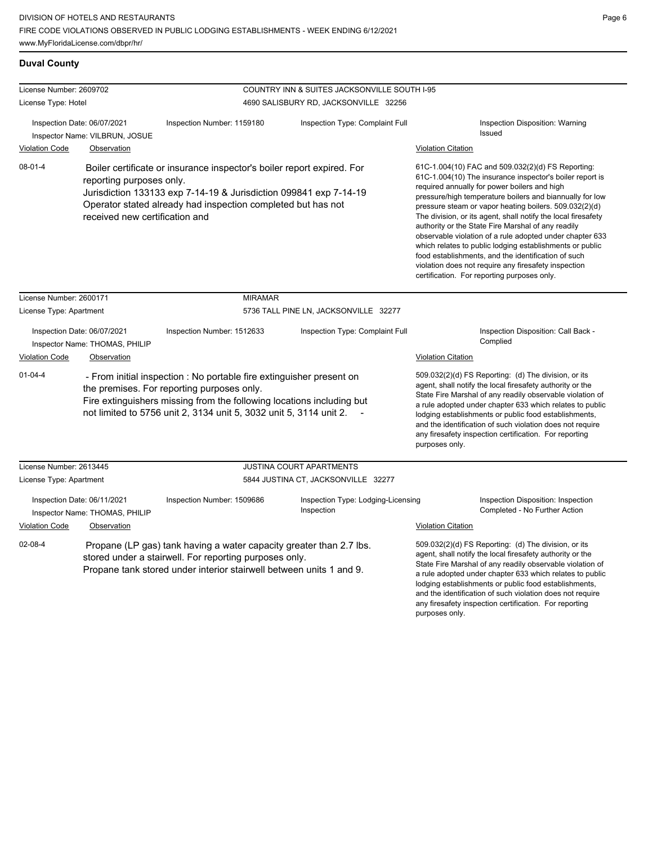### **Duval County**

| License Number: 2609702                                                                                                                                                                                               |                                                               |                                                                                                                                                                                                                                                                   | COUNTRY INN & SUITES JACKSONVILLE SOUTH I-95                                                                                                                                                                                                                                                                                                                                                                                                                                                                                                                                                                                                                                                     |                                                                              |
|-----------------------------------------------------------------------------------------------------------------------------------------------------------------------------------------------------------------------|---------------------------------------------------------------|-------------------------------------------------------------------------------------------------------------------------------------------------------------------------------------------------------------------------------------------------------------------|--------------------------------------------------------------------------------------------------------------------------------------------------------------------------------------------------------------------------------------------------------------------------------------------------------------------------------------------------------------------------------------------------------------------------------------------------------------------------------------------------------------------------------------------------------------------------------------------------------------------------------------------------------------------------------------------------|------------------------------------------------------------------------------|
| License Type: Hotel                                                                                                                                                                                                   |                                                               |                                                                                                                                                                                                                                                                   | 4690 SALISBURY RD, JACKSONVILLE 32256                                                                                                                                                                                                                                                                                                                                                                                                                                                                                                                                                                                                                                                            |                                                                              |
| Inspection Date: 06/07/2021<br>Inspector Name: VILBRUN, JOSUE<br><b>Violation Code</b><br>Observation                                                                                                                 |                                                               | Inspection Number: 1159180                                                                                                                                                                                                                                        | Inspection Type: Complaint Full                                                                                                                                                                                                                                                                                                                                                                                                                                                                                                                                                                                                                                                                  | Inspection Disposition: Warning<br>Issued<br><b>Violation Citation</b>       |
| $08 - 01 - 4$                                                                                                                                                                                                         | reporting purposes only.<br>received new certification and    | Boiler certificate or insurance inspector's boiler report expired. For<br>Jurisdiction 133133 exp 7-14-19 & Jurisdiction 099841 exp 7-14-19<br>Operator stated already had inspection completed but has not                                                       | 61C-1.004(10) FAC and 509.032(2)(d) FS Reporting:<br>61C-1.004(10) The insurance inspector's boiler report is<br>required annually for power boilers and high<br>pressure/high temperature boilers and biannually for low<br>pressure steam or vapor heating boilers. 509.032(2)(d)<br>The division, or its agent, shall notify the local firesafety<br>authority or the State Fire Marshal of any readily<br>observable violation of a rule adopted under chapter 633<br>which relates to public lodging establishments or public<br>food establishments, and the identification of such<br>violation does not require any firesafety inspection<br>certification. For reporting purposes only. |                                                                              |
| License Number: 2600171                                                                                                                                                                                               |                                                               | <b>MIRAMAR</b>                                                                                                                                                                                                                                                    |                                                                                                                                                                                                                                                                                                                                                                                                                                                                                                                                                                                                                                                                                                  |                                                                              |
| License Type: Apartment                                                                                                                                                                                               |                                                               | 5736 TALL PINE LN, JACKSONVILLE 32277                                                                                                                                                                                                                             |                                                                                                                                                                                                                                                                                                                                                                                                                                                                                                                                                                                                                                                                                                  |                                                                              |
| Inspection Date: 06/07/2021<br>Inspector Name: THOMAS, PHILIP<br><b>Violation Code</b><br>Observation                                                                                                                 |                                                               | Inspection Number: 1512633                                                                                                                                                                                                                                        | Inspection Type: Complaint Full                                                                                                                                                                                                                                                                                                                                                                                                                                                                                                                                                                                                                                                                  | Inspection Disposition: Call Back -<br>Complied<br><b>Violation Citation</b> |
| $01 - 04 - 4$                                                                                                                                                                                                         |                                                               | - From initial inspection : No portable fire extinguisher present on<br>the premises. For reporting purposes only.<br>Fire extinguishers missing from the following locations including but<br>not limited to 5756 unit 2, 3134 unit 5, 3032 unit 5, 3114 unit 2. | 509.032(2)(d) FS Reporting: (d) The division, or its<br>agent, shall notify the local firesafety authority or the<br>State Fire Marshal of any readily observable violation of<br>a rule adopted under chapter 633 which relates to public<br>lodging establishments or public food establishments,<br>and the identification of such violation does not require<br>any firesafety inspection certification. For reporting<br>purposes only.                                                                                                                                                                                                                                                     |                                                                              |
| License Number: 2613445                                                                                                                                                                                               |                                                               |                                                                                                                                                                                                                                                                   | JUSTINA COURT APARTMENTS                                                                                                                                                                                                                                                                                                                                                                                                                                                                                                                                                                                                                                                                         |                                                                              |
| License Type: Apartment                                                                                                                                                                                               |                                                               | 5844 JUSTINA CT, JACKSONVILLE 32277                                                                                                                                                                                                                               |                                                                                                                                                                                                                                                                                                                                                                                                                                                                                                                                                                                                                                                                                                  |                                                                              |
|                                                                                                                                                                                                                       | Inspection Date: 06/11/2021<br>Inspector Name: THOMAS, PHILIP | Inspection Number: 1509686                                                                                                                                                                                                                                        | Inspection Type: Lodging-Licensing<br>Inspection                                                                                                                                                                                                                                                                                                                                                                                                                                                                                                                                                                                                                                                 | Inspection Disposition: Inspection<br>Completed - No Further Action          |
| <b>Violation Code</b>                                                                                                                                                                                                 | Observation                                                   |                                                                                                                                                                                                                                                                   |                                                                                                                                                                                                                                                                                                                                                                                                                                                                                                                                                                                                                                                                                                  | <b>Violation Citation</b>                                                    |
| $02 - 08 - 4$<br>Propane (LP gas) tank having a water capacity greater than 2.7 lbs.<br>stored under a stairwell. For reporting purposes only.<br>Propane tank stored under interior stairwell between units 1 and 9. |                                                               |                                                                                                                                                                                                                                                                   | 509.032(2)(d) FS Reporting: (d) The division, or its<br>agent, shall notify the local firesafety authority or the<br>State Fire Marshal of any readily observable violation of<br>a rule adopted under chapter 633 which relates to public<br>lodging establishments or public food establishments,<br>and the identification of such violation does not require                                                                                                                                                                                                                                                                                                                                 |                                                                              |

any firesafety inspection certification. For reporting

purposes only.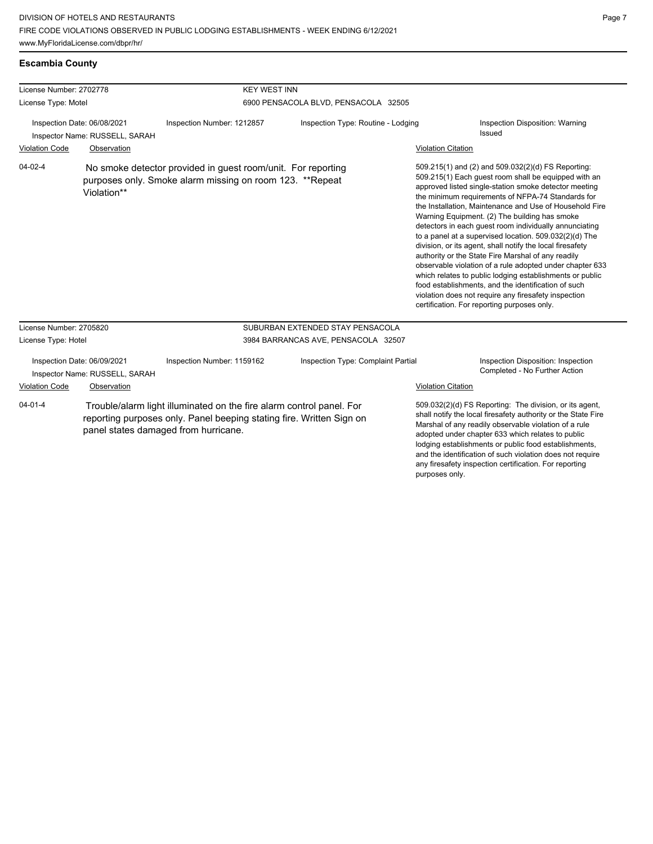| <b>Escambia County</b> |  |
|------------------------|--|
|                        |  |

| License Number: 2702778                                       |             | <b>KEY WEST INN</b>                                                                                                                                                                  |                                     |                           |                                                                                                                                                                                                                                                                                                                                                                                                                                                                                                                                                                                                                                                                                                                                                                                                                                                                   |
|---------------------------------------------------------------|-------------|--------------------------------------------------------------------------------------------------------------------------------------------------------------------------------------|-------------------------------------|---------------------------|-------------------------------------------------------------------------------------------------------------------------------------------------------------------------------------------------------------------------------------------------------------------------------------------------------------------------------------------------------------------------------------------------------------------------------------------------------------------------------------------------------------------------------------------------------------------------------------------------------------------------------------------------------------------------------------------------------------------------------------------------------------------------------------------------------------------------------------------------------------------|
| License Type: Motel                                           |             | 6900 PENSACOLA BLVD, PENSACOLA 32505                                                                                                                                                 |                                     |                           |                                                                                                                                                                                                                                                                                                                                                                                                                                                                                                                                                                                                                                                                                                                                                                                                                                                                   |
| Inspection Date: 06/08/2021<br>Inspector Name: RUSSELL, SARAH |             | Inspection Number: 1212857                                                                                                                                                           | Inspection Type: Routine - Lodging  |                           | Inspection Disposition: Warning<br>Issued                                                                                                                                                                                                                                                                                                                                                                                                                                                                                                                                                                                                                                                                                                                                                                                                                         |
| <b>Violation Code</b>                                         | Observation |                                                                                                                                                                                      |                                     | <b>Violation Citation</b> |                                                                                                                                                                                                                                                                                                                                                                                                                                                                                                                                                                                                                                                                                                                                                                                                                                                                   |
| $04 - 02 - 4$                                                 | Violation** | No smoke detector provided in guest room/unit. For reporting<br>purposes only. Smoke alarm missing on room 123. **Repeat                                                             |                                     |                           | 509.215(1) and (2) and 509.032(2)(d) FS Reporting:<br>509.215(1) Each guest room shall be equipped with an<br>approved listed single-station smoke detector meeting<br>the minimum requirements of NFPA-74 Standards for<br>the Installation, Maintenance and Use of Household Fire<br>Warning Equipment. (2) The building has smoke<br>detectors in each guest room individually annunciating<br>to a panel at a supervised location. 509.032(2)(d) The<br>division, or its agent, shall notify the local firesafety<br>authority or the State Fire Marshal of any readily<br>observable violation of a rule adopted under chapter 633<br>which relates to public lodging establishments or public<br>food establishments, and the identification of such<br>violation does not require any firesafety inspection<br>certification. For reporting purposes only. |
| License Number: 2705820                                       |             |                                                                                                                                                                                      | SUBURBAN EXTENDED STAY PENSACOLA    |                           |                                                                                                                                                                                                                                                                                                                                                                                                                                                                                                                                                                                                                                                                                                                                                                                                                                                                   |
| License Type: Hotel                                           |             |                                                                                                                                                                                      | 3984 BARRANCAS AVE, PENSACOLA 32507 |                           |                                                                                                                                                                                                                                                                                                                                                                                                                                                                                                                                                                                                                                                                                                                                                                                                                                                                   |
| Inspection Date: 06/09/2021<br>Inspector Name: RUSSELL, SARAH |             | Inspection Number: 1159162                                                                                                                                                           | Inspection Type: Complaint Partial  |                           | Inspection Disposition: Inspection<br>Completed - No Further Action                                                                                                                                                                                                                                                                                                                                                                                                                                                                                                                                                                                                                                                                                                                                                                                               |
| Violation Code                                                | Observation |                                                                                                                                                                                      |                                     | <b>Violation Citation</b> |                                                                                                                                                                                                                                                                                                                                                                                                                                                                                                                                                                                                                                                                                                                                                                                                                                                                   |
| $04 - 01 - 4$                                                 |             | Trouble/alarm light illuminated on the fire alarm control panel. For<br>reporting purposes only. Panel beeping stating fire. Written Sign on<br>panel states damaged from hurricane. |                                     |                           | 509.032(2)(d) FS Reporting: The division, or its agent,<br>shall notify the local firesafety authority or the State Fire<br>Marshal of any readily observable violation of a rule<br>adopted under chapter 633 which relates to public<br>lodging establishments or public food establishments,<br>and the identification of such violation does not require<br>any firesafety inspection certification. For reporting                                                                                                                                                                                                                                                                                                                                                                                                                                            |

purposes only.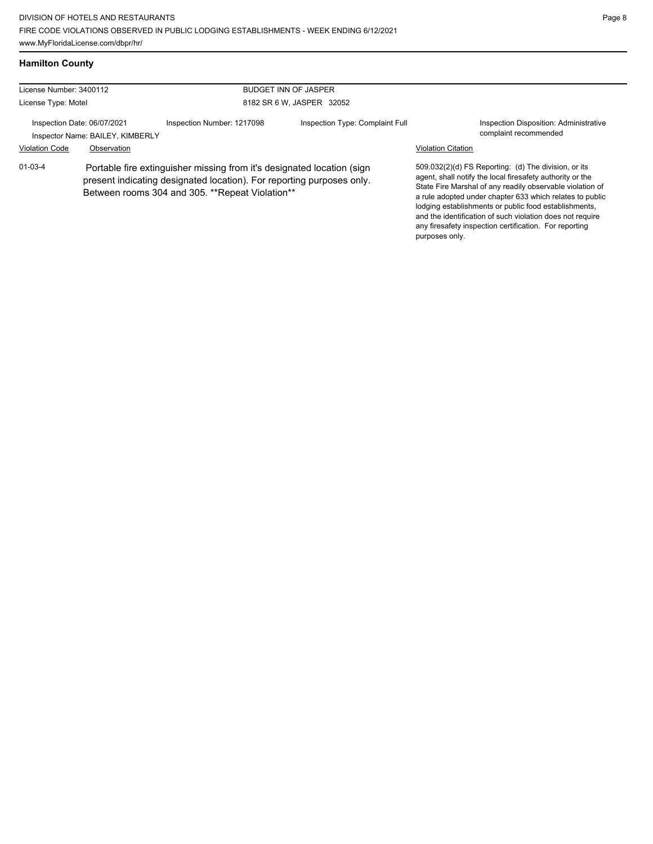### **Hamilton County**

| License Number: 3400112<br><b>BUDGET INN OF JASPER</b> |                                                                 |                                                                                                                                                                                                    |                                 |                           |                                                                                                                                                                                                                                                                                                                                                                                                                            |
|--------------------------------------------------------|-----------------------------------------------------------------|----------------------------------------------------------------------------------------------------------------------------------------------------------------------------------------------------|---------------------------------|---------------------------|----------------------------------------------------------------------------------------------------------------------------------------------------------------------------------------------------------------------------------------------------------------------------------------------------------------------------------------------------------------------------------------------------------------------------|
| License Type: Motel                                    |                                                                 |                                                                                                                                                                                                    | 8182 SR 6 W, JASPER 32052       |                           |                                                                                                                                                                                                                                                                                                                                                                                                                            |
|                                                        | Inspection Date: 06/07/2021<br>Inspector Name: BAILEY, KIMBERLY | Inspection Number: 1217098                                                                                                                                                                         | Inspection Type: Complaint Full |                           | Inspection Disposition: Administrative<br>complaint recommended                                                                                                                                                                                                                                                                                                                                                            |
| <b>Violation Code</b>                                  | Observation                                                     |                                                                                                                                                                                                    |                                 | <b>Violation Citation</b> |                                                                                                                                                                                                                                                                                                                                                                                                                            |
| $01 - 03 - 4$                                          |                                                                 | Portable fire extinguisher missing from it's designated location (sign<br>present indicating designated location). For reporting purposes only.<br>Between rooms 304 and 305. **Repeat Violation** |                                 | purposes only.            | 509.032(2)(d) FS Reporting: (d) The division, or its<br>agent, shall notify the local firesafety authority or the<br>State Fire Marshal of any readily observable violation of<br>a rule adopted under chapter 633 which relates to public<br>lodging establishments or public food establishments,<br>and the identification of such violation does not require<br>any firesafety inspection certification. For reporting |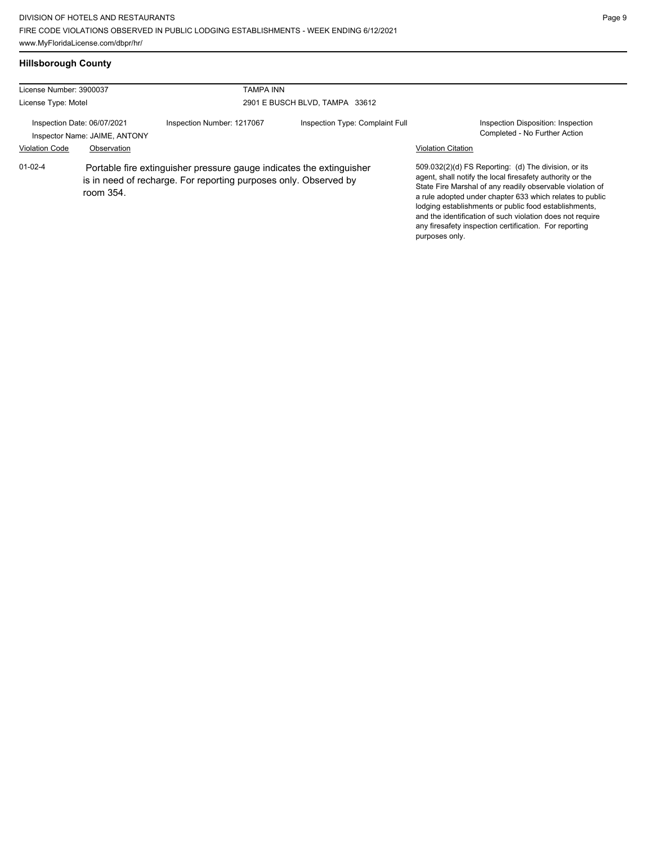# **Hillsborough County**

| License Number: 3900037                              |                                                                                                                                                       | <b>TAMPA INN</b>           |                                 |                                                                                                                                                                                                                                                                                                                                                                                                                                              |
|------------------------------------------------------|-------------------------------------------------------------------------------------------------------------------------------------------------------|----------------------------|---------------------------------|----------------------------------------------------------------------------------------------------------------------------------------------------------------------------------------------------------------------------------------------------------------------------------------------------------------------------------------------------------------------------------------------------------------------------------------------|
| License Type: Motel                                  |                                                                                                                                                       |                            | 2901 E BUSCH BLVD, TAMPA 33612  |                                                                                                                                                                                                                                                                                                                                                                                                                                              |
| Inspection Date: 06/07/2021<br><b>Violation Code</b> | Inspector Name: JAIME, ANTONY<br>Observation                                                                                                          | Inspection Number: 1217067 | Inspection Type: Complaint Full | Inspection Disposition: Inspection<br>Completed - No Further Action<br><b>Violation Citation</b>                                                                                                                                                                                                                                                                                                                                             |
| $01 - 02 - 4$                                        | Portable fire extinguisher pressure gauge indicates the extinguisher<br>is in need of recharge. For reporting purposes only. Observed by<br>room 354. |                            |                                 | 509.032(2)(d) FS Reporting: (d) The division, or its<br>agent, shall notify the local firesafety authority or the<br>State Fire Marshal of any readily observable violation of<br>a rule adopted under chapter 633 which relates to public<br>lodging establishments or public food establishments,<br>and the identification of such violation does not require<br>any firesafety inspection certification. For reporting<br>purposes only. |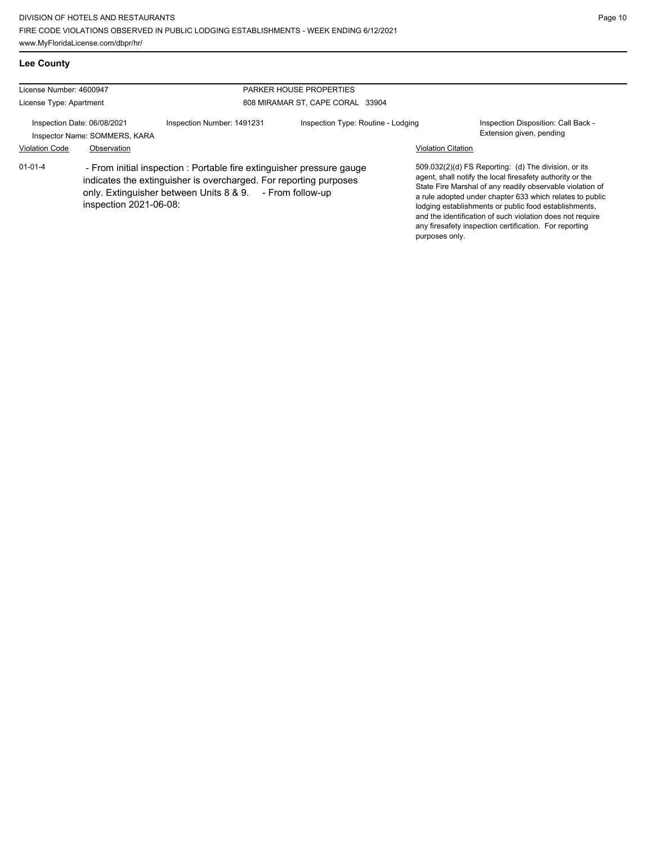| <b>Lee County</b>                                            |                        |                                                                                                                                                                                                        |                                                                    |                           |                                                                                                                                                                                                                                                                                                                                                                                                                            |
|--------------------------------------------------------------|------------------------|--------------------------------------------------------------------------------------------------------------------------------------------------------------------------------------------------------|--------------------------------------------------------------------|---------------------------|----------------------------------------------------------------------------------------------------------------------------------------------------------------------------------------------------------------------------------------------------------------------------------------------------------------------------------------------------------------------------------------------------------------------------|
| License Number: 4600947<br>License Type: Apartment           |                        |                                                                                                                                                                                                        | <b>PARKER HOUSE PROPERTIES</b><br>808 MIRAMAR ST, CAPE CORAL 33904 |                           |                                                                                                                                                                                                                                                                                                                                                                                                                            |
| Inspection Date: 06/08/2021<br>Inspector Name: SOMMERS, KARA |                        | Inspection Number: 1491231                                                                                                                                                                             | Inspection Type: Routine - Lodging                                 |                           | Inspection Disposition: Call Back -<br>Extension given, pending                                                                                                                                                                                                                                                                                                                                                            |
| <b>Violation Code</b>                                        | Observation            |                                                                                                                                                                                                        |                                                                    | <b>Violation Citation</b> |                                                                                                                                                                                                                                                                                                                                                                                                                            |
| $01 - 01 - 4$                                                | inspection 2021-06-08: | - From initial inspection : Portable fire extinguisher pressure gauge<br>indicates the extinguisher is overcharged. For reporting purposes<br>only. Extinguisher between Units 8 & 9. - From follow-up |                                                                    | purposes only.            | 509.032(2)(d) FS Reporting: (d) The division, or its<br>agent, shall notify the local firesafety authority or the<br>State Fire Marshal of any readily observable violation of<br>a rule adopted under chapter 633 which relates to public<br>lodging establishments or public food establishments,<br>and the identification of such violation does not require<br>any firesafety inspection certification. For reporting |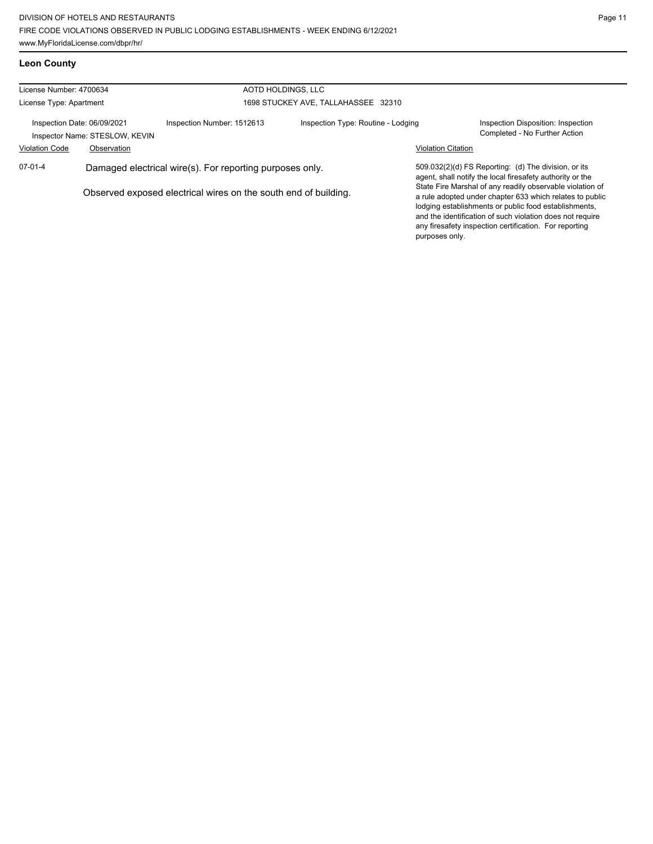### **Leon County**

| License Number: 4700634                                                                                                                  |             | AOTD HOLDINGS, LLC         |                                     |                                                                                                                                                                                                                                                                                                       |                                                                     |
|------------------------------------------------------------------------------------------------------------------------------------------|-------------|----------------------------|-------------------------------------|-------------------------------------------------------------------------------------------------------------------------------------------------------------------------------------------------------------------------------------------------------------------------------------------------------|---------------------------------------------------------------------|
| License Type: Apartment                                                                                                                  |             |                            | 1698 STUCKEY AVE, TALLAHASSEE 32310 |                                                                                                                                                                                                                                                                                                       |                                                                     |
| Inspection Date: 06/09/2021<br>Inspector Name: STESLOW, KEVIN                                                                            |             | Inspection Number: 1512613 | Inspection Type: Routine - Lodging  |                                                                                                                                                                                                                                                                                                       | Inspection Disposition: Inspection<br>Completed - No Further Action |
| <b>Violation Code</b>                                                                                                                    | Observation |                            |                                     | <b>Violation Citation</b>                                                                                                                                                                                                                                                                             |                                                                     |
| $07-01-4$<br>Damaged electrical wire(s). For reporting purposes only.<br>Observed exposed electrical wires on the south end of building. |             |                            |                                     | 509.032(2)(d) FS Reporting: (d) The division, or its<br>agent, shall notify the local firesafety authority or the                                                                                                                                                                                     |                                                                     |
|                                                                                                                                          |             |                            | purposes only.                      | State Fire Marshal of any readily observable violation of<br>a rule adopted under chapter 633 which relates to public<br>lodging establishments or public food establishments,<br>and the identification of such violation does not require<br>any firesafety inspection certification. For reporting |                                                                     |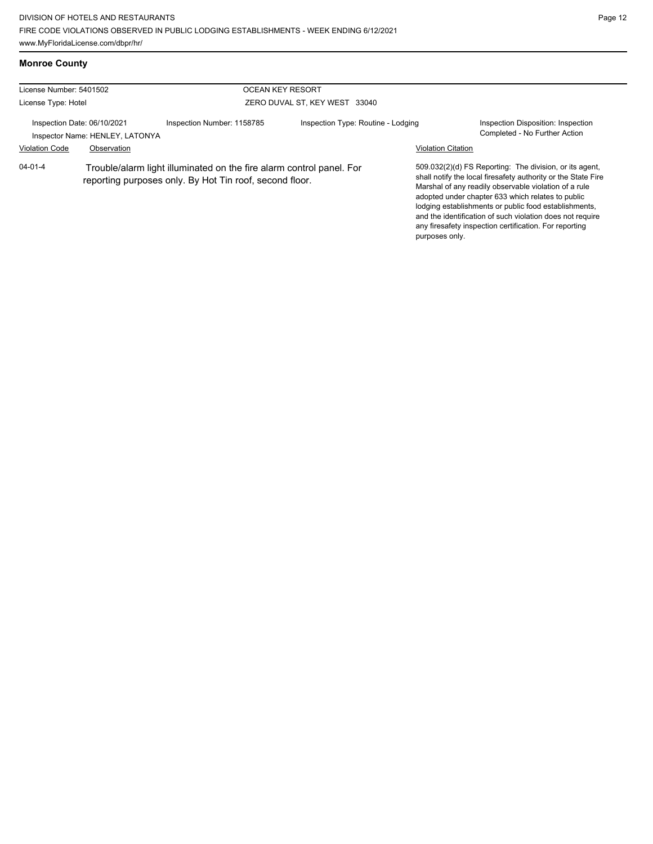### **Monroe County**

| License Number: 5401502<br><b>OCEAN KEY RESORT</b>             |             |                                                                                                                                 |                                    |                           |                                                                                                                                                                                                                                                                                                                                                                                                                        |
|----------------------------------------------------------------|-------------|---------------------------------------------------------------------------------------------------------------------------------|------------------------------------|---------------------------|------------------------------------------------------------------------------------------------------------------------------------------------------------------------------------------------------------------------------------------------------------------------------------------------------------------------------------------------------------------------------------------------------------------------|
| License Type: Hotel                                            |             |                                                                                                                                 | ZERO DUVAL ST, KEY WEST 33040      |                           |                                                                                                                                                                                                                                                                                                                                                                                                                        |
| Inspection Date: 06/10/2021<br>Inspector Name: HENLEY, LATONYA |             | Inspection Number: 1158785                                                                                                      | Inspection Type: Routine - Lodging |                           | Inspection Disposition: Inspection<br>Completed - No Further Action                                                                                                                                                                                                                                                                                                                                                    |
| <b>Violation Code</b>                                          | Observation |                                                                                                                                 |                                    | <b>Violation Citation</b> |                                                                                                                                                                                                                                                                                                                                                                                                                        |
| $04 - 01 - 4$                                                  |             | Trouble/alarm light illuminated on the fire alarm control panel. For<br>reporting purposes only. By Hot Tin roof, second floor. |                                    | purposes only.            | 509.032(2)(d) FS Reporting: The division, or its agent,<br>shall notify the local firesafety authority or the State Fire<br>Marshal of any readily observable violation of a rule<br>adopted under chapter 633 which relates to public<br>lodging establishments or public food establishments,<br>and the identification of such violation does not require<br>any firesafety inspection certification. For reporting |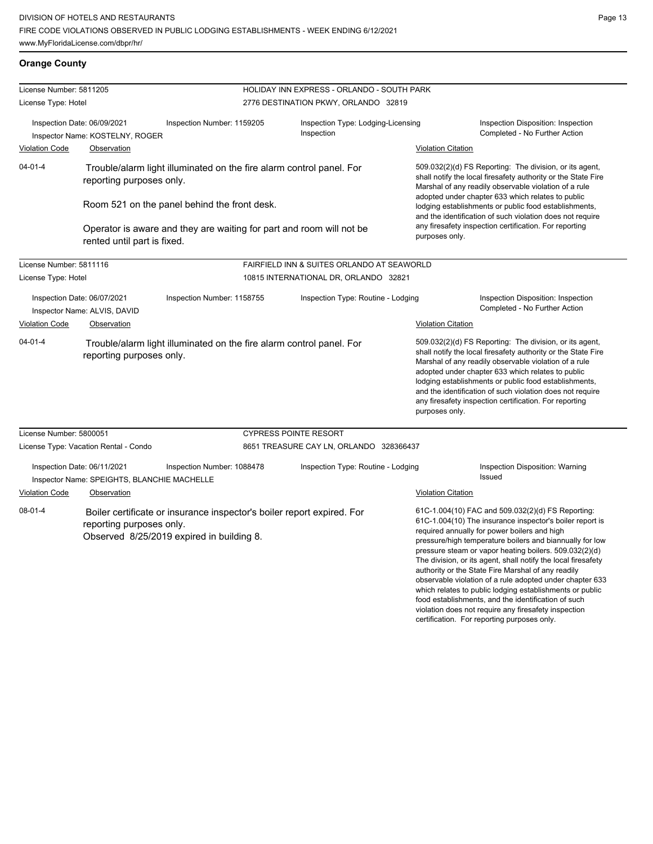**Orange County**

violation does not require any firesafety inspection certification. For reporting purposes only.

| License Number: 5811205                                     |                                                                                                  |                                                                                                                     | HOLIDAY INN EXPRESS - ORLANDO - SOUTH PARK       |                                                                                                                                                                                                                                                                                                                                                                                                                                                                                                                                                                                           |
|-------------------------------------------------------------|--------------------------------------------------------------------------------------------------|---------------------------------------------------------------------------------------------------------------------|--------------------------------------------------|-------------------------------------------------------------------------------------------------------------------------------------------------------------------------------------------------------------------------------------------------------------------------------------------------------------------------------------------------------------------------------------------------------------------------------------------------------------------------------------------------------------------------------------------------------------------------------------------|
| License Type: Hotel                                         |                                                                                                  |                                                                                                                     | 2776 DESTINATION PKWY, ORLANDO 32819             |                                                                                                                                                                                                                                                                                                                                                                                                                                                                                                                                                                                           |
|                                                             | Inspection Date: 06/09/2021<br>Inspector Name: KOSTELNY, ROGER                                   | Inspection Number: 1159205                                                                                          | Inspection Type: Lodging-Licensing<br>Inspection | Inspection Disposition: Inspection<br>Completed - No Further Action                                                                                                                                                                                                                                                                                                                                                                                                                                                                                                                       |
| <b>Violation Code</b>                                       | Observation                                                                                      |                                                                                                                     |                                                  | <b>Violation Citation</b>                                                                                                                                                                                                                                                                                                                                                                                                                                                                                                                                                                 |
| $04 - 01 - 4$                                               | reporting purposes only.                                                                         | Trouble/alarm light illuminated on the fire alarm control panel. For                                                |                                                  | 509.032(2)(d) FS Reporting: The division, or its agent,<br>shall notify the local firesafety authority or the State Fire<br>Marshal of any readily observable violation of a rule                                                                                                                                                                                                                                                                                                                                                                                                         |
|                                                             |                                                                                                  | Room 521 on the panel behind the front desk.                                                                        |                                                  | adopted under chapter 633 which relates to public<br>lodging establishments or public food establishments,<br>and the identification of such violation does not require                                                                                                                                                                                                                                                                                                                                                                                                                   |
|                                                             | rented until part is fixed.                                                                      | Operator is aware and they are waiting for part and room will not be                                                |                                                  | any firesafety inspection certification. For reporting<br>purposes only.                                                                                                                                                                                                                                                                                                                                                                                                                                                                                                                  |
| License Number: 5811116                                     |                                                                                                  |                                                                                                                     | FAIRFIELD INN & SUITES ORLANDO AT SEAWORLD       |                                                                                                                                                                                                                                                                                                                                                                                                                                                                                                                                                                                           |
| License Type: Hotel                                         |                                                                                                  |                                                                                                                     | 10815 INTERNATIONAL DR, ORLANDO 32821            |                                                                                                                                                                                                                                                                                                                                                                                                                                                                                                                                                                                           |
| Inspection Date: 06/07/2021<br>Inspector Name: ALVIS, DAVID |                                                                                                  | Inspection Number: 1158755                                                                                          | Inspection Type: Routine - Lodging               | Inspection Disposition: Inspection<br>Completed - No Further Action                                                                                                                                                                                                                                                                                                                                                                                                                                                                                                                       |
| <b>Violation Code</b><br>Observation                        |                                                                                                  |                                                                                                                     |                                                  | <b>Violation Citation</b>                                                                                                                                                                                                                                                                                                                                                                                                                                                                                                                                                                 |
| 04-01-4                                                     | Trouble/alarm light illuminated on the fire alarm control panel. For<br>reporting purposes only. |                                                                                                                     |                                                  | 509.032(2)(d) FS Reporting: The division, or its agent,<br>shall notify the local firesafety authority or the State Fire<br>Marshal of any readily observable violation of a rule<br>adopted under chapter 633 which relates to public<br>lodging establishments or public food establishments,<br>and the identification of such violation does not require<br>any firesafety inspection certification. For reporting<br>purposes only.                                                                                                                                                  |
| License Number: 5800051                                     |                                                                                                  |                                                                                                                     | <b>CYPRESS POINTE RESORT</b>                     |                                                                                                                                                                                                                                                                                                                                                                                                                                                                                                                                                                                           |
|                                                             | License Type: Vacation Rental - Condo                                                            |                                                                                                                     | 8651 TREASURE CAY LN, ORLANDO 328366437          |                                                                                                                                                                                                                                                                                                                                                                                                                                                                                                                                                                                           |
|                                                             | Inspection Date: 06/11/2021<br>Inspector Name: SPEIGHTS, BLANCHIE MACHELLE                       | Inspection Number: 1088478                                                                                          | Inspection Type: Routine - Lodging               | Inspection Disposition: Warning<br>Issued                                                                                                                                                                                                                                                                                                                                                                                                                                                                                                                                                 |
| <b>Violation Code</b>                                       | Observation                                                                                      |                                                                                                                     |                                                  | <b>Violation Citation</b>                                                                                                                                                                                                                                                                                                                                                                                                                                                                                                                                                                 |
| 08-01-4                                                     | reporting purposes only.                                                                         | Boiler certificate or insurance inspector's boiler report expired. For<br>Observed 8/25/2019 expired in building 8. |                                                  | 61C-1.004(10) FAC and 509.032(2)(d) FS Reporting:<br>61C-1.004(10) The insurance inspector's boiler report is<br>required annually for power boilers and high<br>pressure/high temperature boilers and biannually for low<br>pressure steam or vapor heating boilers. 509.032(2)(d)<br>The division, or its agent, shall notify the local firesafety<br>authority or the State Fire Marshal of any readily<br>observable violation of a rule adopted under chapter 633<br>which relates to public lodging establishments or public<br>food establishments, and the identification of such |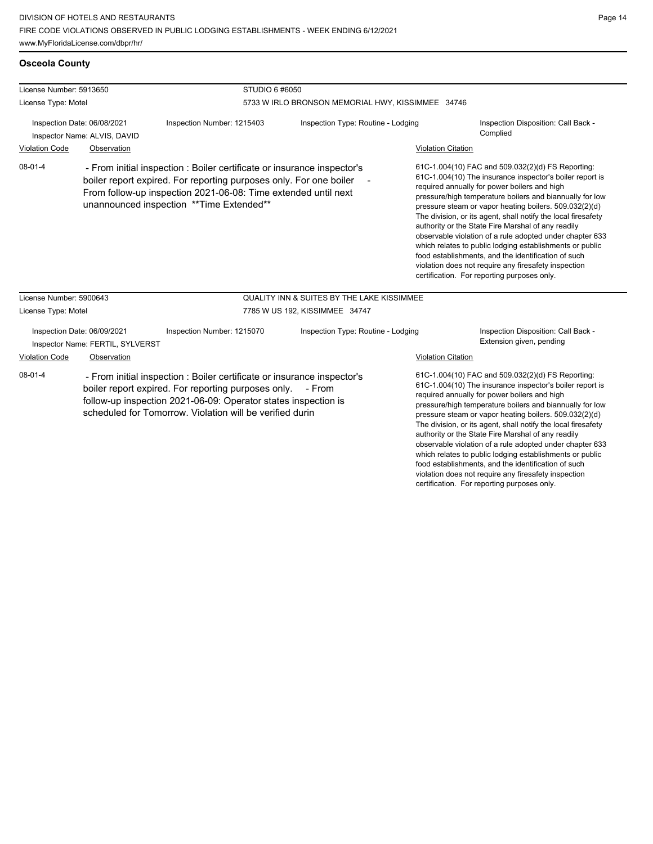### **Osceola County**

| License Number: 5913650                                     |                                                                 | STUDIO 6 #6050                                                                                                                                                                                                                                               |                                                                                   |                                                                                                                                                                                                                                                                                                                                                                                                                                                                                                                                                                                                                                                                                                  |                                                                                                                                                                                                                                                                                                                                                                                                                                                                                                                                                                                           |  |
|-------------------------------------------------------------|-----------------------------------------------------------------|--------------------------------------------------------------------------------------------------------------------------------------------------------------------------------------------------------------------------------------------------------------|-----------------------------------------------------------------------------------|--------------------------------------------------------------------------------------------------------------------------------------------------------------------------------------------------------------------------------------------------------------------------------------------------------------------------------------------------------------------------------------------------------------------------------------------------------------------------------------------------------------------------------------------------------------------------------------------------------------------------------------------------------------------------------------------------|-------------------------------------------------------------------------------------------------------------------------------------------------------------------------------------------------------------------------------------------------------------------------------------------------------------------------------------------------------------------------------------------------------------------------------------------------------------------------------------------------------------------------------------------------------------------------------------------|--|
| License Type: Motel                                         |                                                                 |                                                                                                                                                                                                                                                              | 5733 W IRLO BRONSON MEMORIAL HWY, KISSIMMEE 34746                                 |                                                                                                                                                                                                                                                                                                                                                                                                                                                                                                                                                                                                                                                                                                  |                                                                                                                                                                                                                                                                                                                                                                                                                                                                                                                                                                                           |  |
| Inspection Date: 06/08/2021<br>Inspector Name: ALVIS, DAVID |                                                                 | Inspection Number: 1215403                                                                                                                                                                                                                                   | Inspection Type: Routine - Lodging                                                |                                                                                                                                                                                                                                                                                                                                                                                                                                                                                                                                                                                                                                                                                                  | Inspection Disposition: Call Back -<br>Complied                                                                                                                                                                                                                                                                                                                                                                                                                                                                                                                                           |  |
| <b>Violation Code</b>                                       | Observation                                                     |                                                                                                                                                                                                                                                              |                                                                                   | <b>Violation Citation</b>                                                                                                                                                                                                                                                                                                                                                                                                                                                                                                                                                                                                                                                                        |                                                                                                                                                                                                                                                                                                                                                                                                                                                                                                                                                                                           |  |
| $08 - 01 - 4$                                               |                                                                 | - From initial inspection : Boiler certificate or insurance inspector's<br>boiler report expired. For reporting purposes only. For one boiler<br>From follow-up inspection 2021-06-08: Time extended until next<br>unannounced inspection ** Time Extended** |                                                                                   | 61C-1.004(10) FAC and 509.032(2)(d) FS Reporting:<br>61C-1.004(10) The insurance inspector's boiler report is<br>required annually for power boilers and high<br>pressure/high temperature boilers and biannually for low<br>pressure steam or vapor heating boilers. 509.032(2)(d)<br>The division, or its agent, shall notify the local firesafety<br>authority or the State Fire Marshal of any readily<br>observable violation of a rule adopted under chapter 633<br>which relates to public lodging establishments or public<br>food establishments, and the identification of such<br>violation does not require any firesafety inspection<br>certification. For reporting purposes only. |                                                                                                                                                                                                                                                                                                                                                                                                                                                                                                                                                                                           |  |
| License Number: 5900643                                     |                                                                 |                                                                                                                                                                                                                                                              | <b>QUALITY INN &amp; SUITES BY THE LAKE KISSIMMEE</b>                             |                                                                                                                                                                                                                                                                                                                                                                                                                                                                                                                                                                                                                                                                                                  |                                                                                                                                                                                                                                                                                                                                                                                                                                                                                                                                                                                           |  |
| License Type: Motel                                         |                                                                 |                                                                                                                                                                                                                                                              | 7785 W US 192, KISSIMMEE 34747                                                    |                                                                                                                                                                                                                                                                                                                                                                                                                                                                                                                                                                                                                                                                                                  |                                                                                                                                                                                                                                                                                                                                                                                                                                                                                                                                                                                           |  |
|                                                             | Inspection Date: 06/09/2021<br>Inspector Name: FERTIL, SYLVERST | Inspection Number: 1215070<br>Inspection Type: Routine - Lodging                                                                                                                                                                                             |                                                                                   |                                                                                                                                                                                                                                                                                                                                                                                                                                                                                                                                                                                                                                                                                                  | Inspection Disposition: Call Back -<br>Extension given, pending                                                                                                                                                                                                                                                                                                                                                                                                                                                                                                                           |  |
| <b>Violation Code</b>                                       | Observation                                                     |                                                                                                                                                                                                                                                              |                                                                                   | <b>Violation Citation</b>                                                                                                                                                                                                                                                                                                                                                                                                                                                                                                                                                                                                                                                                        |                                                                                                                                                                                                                                                                                                                                                                                                                                                                                                                                                                                           |  |
| $08-01-4$                                                   |                                                                 | boiler report expired. For reporting purposes only.<br>follow-up inspection 2021-06-09: Operator states inspection is<br>scheduled for Tomorrow. Violation will be verified durin                                                                            | - From initial inspection : Boiler certificate or insurance inspector's<br>- From |                                                                                                                                                                                                                                                                                                                                                                                                                                                                                                                                                                                                                                                                                                  | 61C-1.004(10) FAC and 509.032(2)(d) FS Reporting:<br>61C-1.004(10) The insurance inspector's boiler report is<br>required annually for power boilers and high<br>pressure/high temperature boilers and biannually for low<br>pressure steam or vapor heating boilers. 509.032(2)(d)<br>The division, or its agent, shall notify the local firesafety<br>authority or the State Fire Marshal of any readily<br>observable violation of a rule adopted under chapter 633<br>which relates to public lodging establishments or public<br>food establishments, and the identification of such |  |

violation does not require any firesafety inspection certification. For reporting purposes only.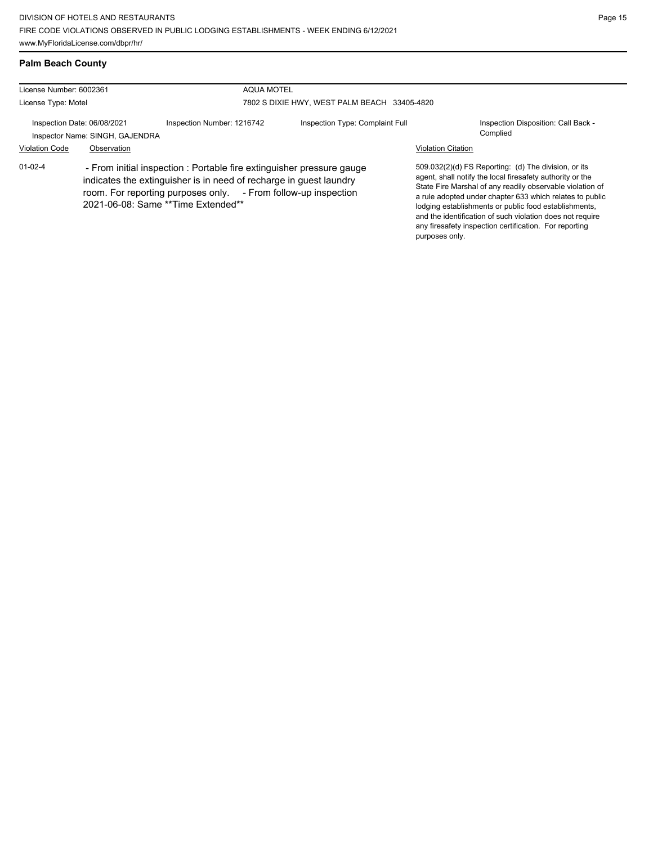### **Palm Beach County**

| License Number: 6002361                                        |             | <b>AQUA MOTEL</b>                                                                                                                                                                                                                                   |                                              |                           |                                                                                                                                                                                                                                                                                                                                                                                                                            |  |
|----------------------------------------------------------------|-------------|-----------------------------------------------------------------------------------------------------------------------------------------------------------------------------------------------------------------------------------------------------|----------------------------------------------|---------------------------|----------------------------------------------------------------------------------------------------------------------------------------------------------------------------------------------------------------------------------------------------------------------------------------------------------------------------------------------------------------------------------------------------------------------------|--|
| License Type: Motel                                            |             |                                                                                                                                                                                                                                                     | 7802 S DIXIE HWY, WEST PALM BEACH 33405-4820 |                           |                                                                                                                                                                                                                                                                                                                                                                                                                            |  |
| Inspection Date: 06/08/2021<br>Inspector Name: SINGH, GAJENDRA |             | Inspection Number: 1216742                                                                                                                                                                                                                          | Inspection Type: Complaint Full              |                           | Inspection Disposition: Call Back -<br>Complied                                                                                                                                                                                                                                                                                                                                                                            |  |
| <b>Violation Code</b>                                          | Observation |                                                                                                                                                                                                                                                     |                                              | <b>Violation Citation</b> |                                                                                                                                                                                                                                                                                                                                                                                                                            |  |
| $01 - 02 - 4$                                                  |             | - From initial inspection : Portable fire extinguisher pressure gauge<br>indicates the extinguisher is in need of recharge in guest laundry<br>room. For reporting purposes only. - From follow-up inspection<br>2021-06-08: Same **Time Extended** |                                              | purposes only.            | 509.032(2)(d) FS Reporting: (d) The division, or its<br>agent, shall notify the local firesafety authority or the<br>State Fire Marshal of any readily observable violation of<br>a rule adopted under chapter 633 which relates to public<br>lodging establishments or public food establishments,<br>and the identification of such violation does not require<br>any firesafety inspection certification. For reporting |  |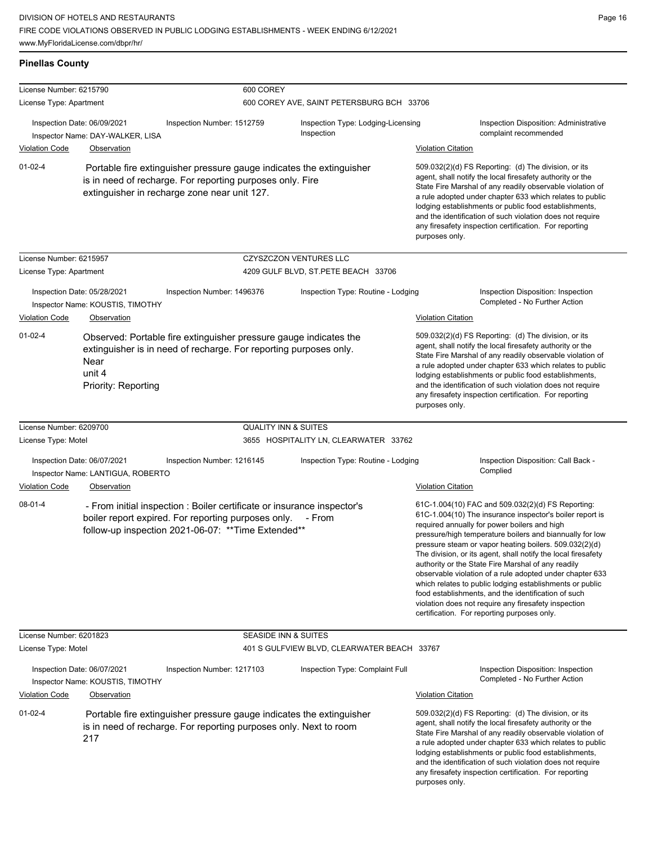| <b>Pinellas County</b>      |                                                                                                                                                                                                                                                                                                                                                                                                                                                                                                                                                                                                                                   |                                                                                                                                                                                       |                                                  |                           |                                                                                                                                                                                                                                                                                                                                                                                                                                                                                                                                                                                                                                                                                                  |
|-----------------------------|-----------------------------------------------------------------------------------------------------------------------------------------------------------------------------------------------------------------------------------------------------------------------------------------------------------------------------------------------------------------------------------------------------------------------------------------------------------------------------------------------------------------------------------------------------------------------------------------------------------------------------------|---------------------------------------------------------------------------------------------------------------------------------------------------------------------------------------|--------------------------------------------------|---------------------------|--------------------------------------------------------------------------------------------------------------------------------------------------------------------------------------------------------------------------------------------------------------------------------------------------------------------------------------------------------------------------------------------------------------------------------------------------------------------------------------------------------------------------------------------------------------------------------------------------------------------------------------------------------------------------------------------------|
| License Number: 6215790     |                                                                                                                                                                                                                                                                                                                                                                                                                                                                                                                                                                                                                                   | 600 COREY                                                                                                                                                                             |                                                  |                           |                                                                                                                                                                                                                                                                                                                                                                                                                                                                                                                                                                                                                                                                                                  |
| License Type: Apartment     |                                                                                                                                                                                                                                                                                                                                                                                                                                                                                                                                                                                                                                   |                                                                                                                                                                                       | 600 COREY AVE, SAINT PETERSBURG BCH 33706        |                           |                                                                                                                                                                                                                                                                                                                                                                                                                                                                                                                                                                                                                                                                                                  |
| Inspection Date: 06/09/2021 | Inspector Name: DAY-WALKER, LISA                                                                                                                                                                                                                                                                                                                                                                                                                                                                                                                                                                                                  | Inspection Number: 1512759                                                                                                                                                            | Inspection Type: Lodging-Licensing<br>Inspection |                           | Inspection Disposition: Administrative<br>complaint recommended                                                                                                                                                                                                                                                                                                                                                                                                                                                                                                                                                                                                                                  |
| <b>Violation Code</b>       | Observation                                                                                                                                                                                                                                                                                                                                                                                                                                                                                                                                                                                                                       |                                                                                                                                                                                       |                                                  | <b>Violation Citation</b> |                                                                                                                                                                                                                                                                                                                                                                                                                                                                                                                                                                                                                                                                                                  |
| $01 - 02 - 4$               | 509.032(2)(d) FS Reporting: (d) The division, or its<br>Portable fire extinguisher pressure gauge indicates the extinguisher<br>agent, shall notify the local firesafety authority or the<br>is in need of recharge. For reporting purposes only. Fire<br>State Fire Marshal of any readily observable violation of<br>extinguisher in recharge zone near unit 127.<br>a rule adopted under chapter 633 which relates to public<br>lodging establishments or public food establishments,<br>and the identification of such violation does not require<br>any firesafety inspection certification. For reporting<br>purposes only. |                                                                                                                                                                                       |                                                  |                           |                                                                                                                                                                                                                                                                                                                                                                                                                                                                                                                                                                                                                                                                                                  |
| License Number: 6215957     |                                                                                                                                                                                                                                                                                                                                                                                                                                                                                                                                                                                                                                   |                                                                                                                                                                                       | <b>CZYSZCZON VENTURES LLC</b>                    |                           |                                                                                                                                                                                                                                                                                                                                                                                                                                                                                                                                                                                                                                                                                                  |
| License Type: Apartment     |                                                                                                                                                                                                                                                                                                                                                                                                                                                                                                                                                                                                                                   |                                                                                                                                                                                       | 4209 GULF BLVD, ST.PETE BEACH 33706              |                           |                                                                                                                                                                                                                                                                                                                                                                                                                                                                                                                                                                                                                                                                                                  |
| Inspection Date: 05/28/2021 | Inspector Name: KOUSTIS, TIMOTHY                                                                                                                                                                                                                                                                                                                                                                                                                                                                                                                                                                                                  | Inspection Number: 1496376                                                                                                                                                            | Inspection Type: Routine - Lodging               |                           | Inspection Disposition: Inspection<br>Completed - No Further Action                                                                                                                                                                                                                                                                                                                                                                                                                                                                                                                                                                                                                              |
| Violation Code              | Observation                                                                                                                                                                                                                                                                                                                                                                                                                                                                                                                                                                                                                       |                                                                                                                                                                                       |                                                  | <b>Violation Citation</b> |                                                                                                                                                                                                                                                                                                                                                                                                                                                                                                                                                                                                                                                                                                  |
| $01 - 02 - 4$               | Near<br>unit 4<br>Priority: Reporting                                                                                                                                                                                                                                                                                                                                                                                                                                                                                                                                                                                             | Observed: Portable fire extinguisher pressure gauge indicates the<br>extinguisher is in need of recharge. For reporting purposes only.                                                |                                                  | purposes only.            | 509.032(2)(d) FS Reporting: (d) The division, or its<br>agent, shall notify the local firesafety authority or the<br>State Fire Marshal of any readily observable violation of<br>a rule adopted under chapter 633 which relates to public<br>lodging establishments or public food establishments,<br>and the identification of such violation does not require<br>any firesafety inspection certification. For reporting                                                                                                                                                                                                                                                                       |
| License Number: 6209700     |                                                                                                                                                                                                                                                                                                                                                                                                                                                                                                                                                                                                                                   | <b>QUALITY INN &amp; SUITES</b>                                                                                                                                                       |                                                  |                           |                                                                                                                                                                                                                                                                                                                                                                                                                                                                                                                                                                                                                                                                                                  |
| License Type: Motel         |                                                                                                                                                                                                                                                                                                                                                                                                                                                                                                                                                                                                                                   |                                                                                                                                                                                       | 3655 HOSPITALITY LN, CLEARWATER 33762            |                           |                                                                                                                                                                                                                                                                                                                                                                                                                                                                                                                                                                                                                                                                                                  |
| Inspection Date: 06/07/2021 | Inspector Name: LANTIGUA, ROBERTO                                                                                                                                                                                                                                                                                                                                                                                                                                                                                                                                                                                                 | Inspection Number: 1216145                                                                                                                                                            | Inspection Type: Routine - Lodging               |                           | Inspection Disposition: Call Back -<br>Complied                                                                                                                                                                                                                                                                                                                                                                                                                                                                                                                                                                                                                                                  |
| <b>Violation Code</b>       | Observation                                                                                                                                                                                                                                                                                                                                                                                                                                                                                                                                                                                                                       |                                                                                                                                                                                       |                                                  | <b>Violation Citation</b> |                                                                                                                                                                                                                                                                                                                                                                                                                                                                                                                                                                                                                                                                                                  |
| $08 - 01 - 4$               |                                                                                                                                                                                                                                                                                                                                                                                                                                                                                                                                                                                                                                   | - From initial inspection : Boiler certificate or insurance inspector's<br>boiler report expired. For reporting purposes only.<br>follow-up inspection 2021-06-07: ** Time Extended** | - From                                           |                           | 61C-1.004(10) FAC and 509.032(2)(d) FS Reporting:<br>61C-1.004(10) The insurance inspector's boiler report is<br>required annually for power boilers and high<br>pressure/high temperature boilers and biannually for low<br>pressure steam or vapor heating boilers. 509.032(2)(d)<br>The division, or its agent, shall notify the local firesafety<br>authority or the State Fire Marshal of any readily<br>observable violation of a rule adopted under chapter 633<br>which relates to public lodging establishments or public<br>food establishments, and the identification of such<br>violation does not require any firesafety inspection<br>certification. For reporting purposes only. |
| License Number: 6201823     |                                                                                                                                                                                                                                                                                                                                                                                                                                                                                                                                                                                                                                   | SEASIDE INN & SUITES                                                                                                                                                                  |                                                  |                           |                                                                                                                                                                                                                                                                                                                                                                                                                                                                                                                                                                                                                                                                                                  |
| License Type: Motel         |                                                                                                                                                                                                                                                                                                                                                                                                                                                                                                                                                                                                                                   |                                                                                                                                                                                       | 401 S GULFVIEW BLVD, CLEARWATER BEACH 33767      |                           |                                                                                                                                                                                                                                                                                                                                                                                                                                                                                                                                                                                                                                                                                                  |
| Inspection Date: 06/07/2021 | Inspector Name: KOUSTIS, TIMOTHY                                                                                                                                                                                                                                                                                                                                                                                                                                                                                                                                                                                                  | Inspection Number: 1217103                                                                                                                                                            | Inspection Type: Complaint Full                  |                           | Inspection Disposition: Inspection<br>Completed - No Further Action                                                                                                                                                                                                                                                                                                                                                                                                                                                                                                                                                                                                                              |
| <b>Violation Code</b>       | Observation                                                                                                                                                                                                                                                                                                                                                                                                                                                                                                                                                                                                                       |                                                                                                                                                                                       |                                                  | <b>Violation Citation</b> |                                                                                                                                                                                                                                                                                                                                                                                                                                                                                                                                                                                                                                                                                                  |
| $01 - 02 - 4$               | 217                                                                                                                                                                                                                                                                                                                                                                                                                                                                                                                                                                                                                               | Portable fire extinguisher pressure gauge indicates the extinguisher<br>is in need of recharge. For reporting purposes only. Next to room                                             |                                                  | purposes only.            | 509.032(2)(d) FS Reporting: (d) The division, or its<br>agent, shall notify the local firesafety authority or the<br>State Fire Marshal of any readily observable violation of<br>a rule adopted under chapter 633 which relates to public<br>lodging establishments or public food establishments,<br>and the identification of such violation does not require<br>any firesafety inspection certification. For reporting                                                                                                                                                                                                                                                                       |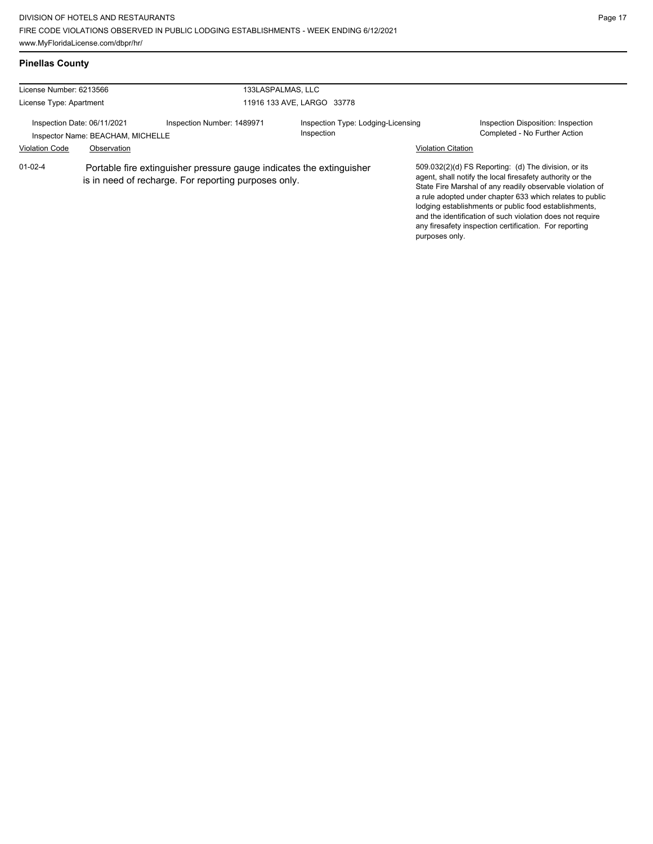### **Pinellas County**

| License Number: 6213566                                          |             | 133LASPALMAS, LLC                                                                                                            |                                                  |                                                                                                                                                                                                                                                                                                                                                                                                                                              |
|------------------------------------------------------------------|-------------|------------------------------------------------------------------------------------------------------------------------------|--------------------------------------------------|----------------------------------------------------------------------------------------------------------------------------------------------------------------------------------------------------------------------------------------------------------------------------------------------------------------------------------------------------------------------------------------------------------------------------------------------|
| License Type: Apartment                                          |             |                                                                                                                              | 11916 133 AVE, LARGO 33778                       |                                                                                                                                                                                                                                                                                                                                                                                                                                              |
| Inspection Date: 06/11/2021<br>Inspector Name: BEACHAM, MICHELLE |             | Inspection Number: 1489971                                                                                                   | Inspection Type: Lodging-Licensing<br>Inspection | Inspection Disposition: Inspection<br>Completed - No Further Action                                                                                                                                                                                                                                                                                                                                                                          |
| <b>Violation Code</b>                                            | Observation |                                                                                                                              |                                                  | <b>Violation Citation</b>                                                                                                                                                                                                                                                                                                                                                                                                                    |
| $01 - 02 - 4$                                                    |             | Portable fire extinguisher pressure gauge indicates the extinguisher<br>is in need of recharge. For reporting purposes only. |                                                  | 509.032(2)(d) FS Reporting: (d) The division, or its<br>agent, shall notify the local firesafety authority or the<br>State Fire Marshal of any readily observable violation of<br>a rule adopted under chapter 633 which relates to public<br>lodging establishments or public food establishments.<br>and the identification of such violation does not require<br>any firesafety inspection certification. For reporting<br>purposes only. |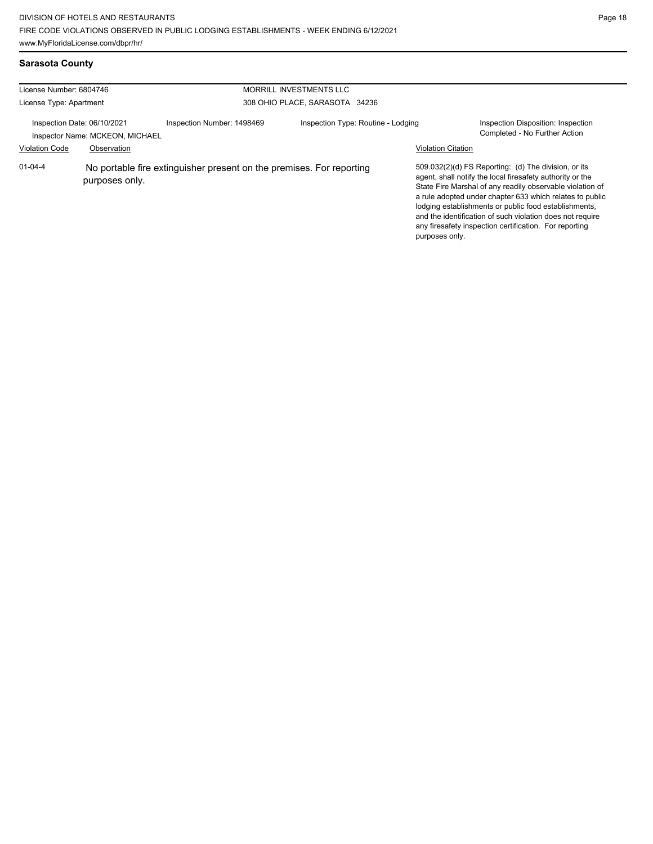**Sarasota County**

| License Number: 6804746                                        |                |                                                                      | MORRILL INVESTMENTS LLC            |                           |                                                                                                                                                                                                                                                                                                                                                                                                                            |
|----------------------------------------------------------------|----------------|----------------------------------------------------------------------|------------------------------------|---------------------------|----------------------------------------------------------------------------------------------------------------------------------------------------------------------------------------------------------------------------------------------------------------------------------------------------------------------------------------------------------------------------------------------------------------------------|
|                                                                |                |                                                                      |                                    |                           |                                                                                                                                                                                                                                                                                                                                                                                                                            |
| License Type: Apartment                                        |                |                                                                      | 308 OHIO PLACE, SARASOTA 34236     |                           |                                                                                                                                                                                                                                                                                                                                                                                                                            |
| Inspection Date: 06/10/2021<br>Inspector Name: MCKEON, MICHAEL |                | Inspection Number: 1498469                                           | Inspection Type: Routine - Lodging |                           | Inspection Disposition: Inspection<br>Completed - No Further Action                                                                                                                                                                                                                                                                                                                                                        |
| <b>Violation Code</b>                                          | Observation    |                                                                      |                                    | <b>Violation Citation</b> |                                                                                                                                                                                                                                                                                                                                                                                                                            |
| $01 - 04 - 4$                                                  | purposes only. | No portable fire extinguisher present on the premises. For reporting |                                    | purposes only.            | 509.032(2)(d) FS Reporting: (d) The division, or its<br>agent, shall notify the local firesafety authority or the<br>State Fire Marshal of any readily observable violation of<br>a rule adopted under chapter 633 which relates to public<br>lodging establishments or public food establishments,<br>and the identification of such violation does not require<br>any firesafety inspection certification. For reporting |